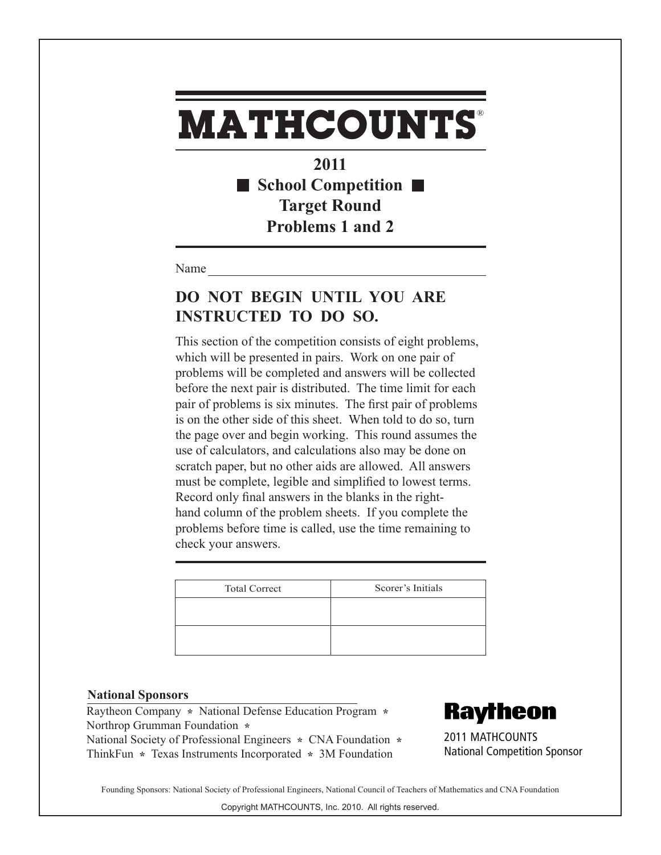**2011** ■ School Competition ■ **Target Round Problems 1 and 2**

Name

### **DO NOT BEGIN UNTIL YOU ARE INSTRUCTED TO DO SO.**

This section of the competition consists of eight problems, which will be presented in pairs. Work on one pair of problems will be completed and answers will be collected before the next pair is distributed. The time limit for each pair of problems is six minutes. The first pair of problems is on the other side of this sheet. When told to do so, turn the page over and begin working. This round assumes the use of calculators, and calculations also may be done on scratch paper, but no other aids are allowed. All answers must be complete, legible and simplified to lowest terms. Record only final answers in the blanks in the righthand column of the problem sheets. If you complete the problems before time is called, use the time remaining to check your answers.

| <b>Total Correct</b> | Scorer's Initials |
|----------------------|-------------------|
|                      |                   |
|                      |                   |
|                      |                   |

#### **National Sponsors**

Raytheon Company **\*** National Defense Education Program **\***  Northrop Grumman Foundation **\***  National Society of Professional Engineers **\*** CNA Foundation **\***  ThinkFun **\*** Texas Instruments Incorporated **\*** 3M Foundation

**Raytheon** 

2011 MATHCOUNTS National Competition Sponsor

Founding Sponsors: National Society of Professional Engineers, National Council of Teachers of Mathematics and CNA Foundation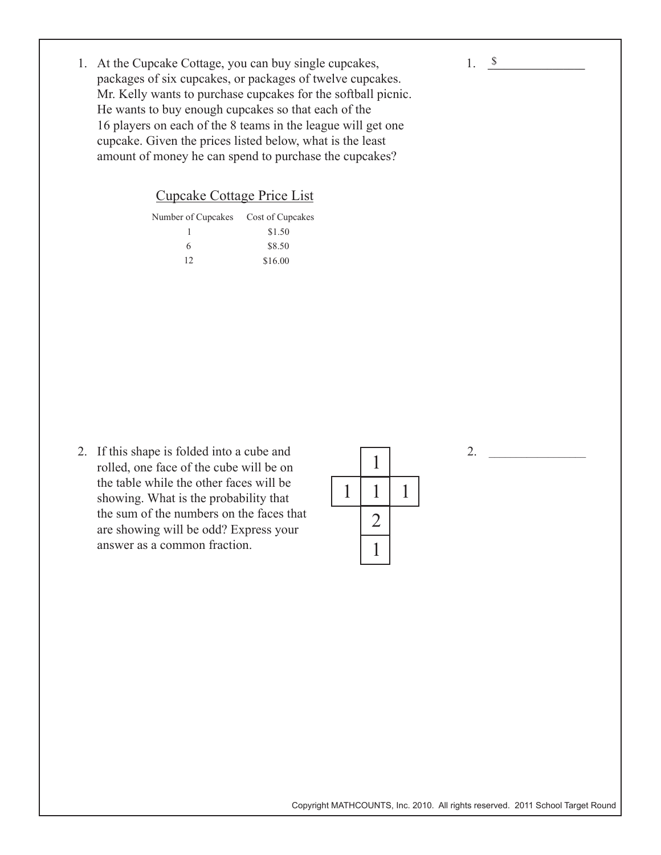- 1. <u>\$</u>
- 1. At the Cupcake Cottage, you can buy single cupcakes, packages of six cupcakes, or packages of twelve cupcakes. Mr. Kelly wants to purchase cupcakes for the softball picnic. He wants to buy enough cupcakes so that each of the 16 players on each of the 8 teams in the league will get one cupcake. Given the prices listed below, what is the least amount of money he can spend to purchase the cupcakes?

Cupcake Cottage Price List

| Number of Cupcakes Cost of Cupcakes |         |
|-------------------------------------|---------|
|                                     | \$1.50  |
| 6                                   | \$8.50  |
| 12                                  | \$16.00 |

2. If this shape is folded into a cube and rolled, one face of the cube will be on the table while the other faces will be showing. What is the probability that the sum of the numbers on the faces that are showing will be odd? Express your answer as a common fraction.

2.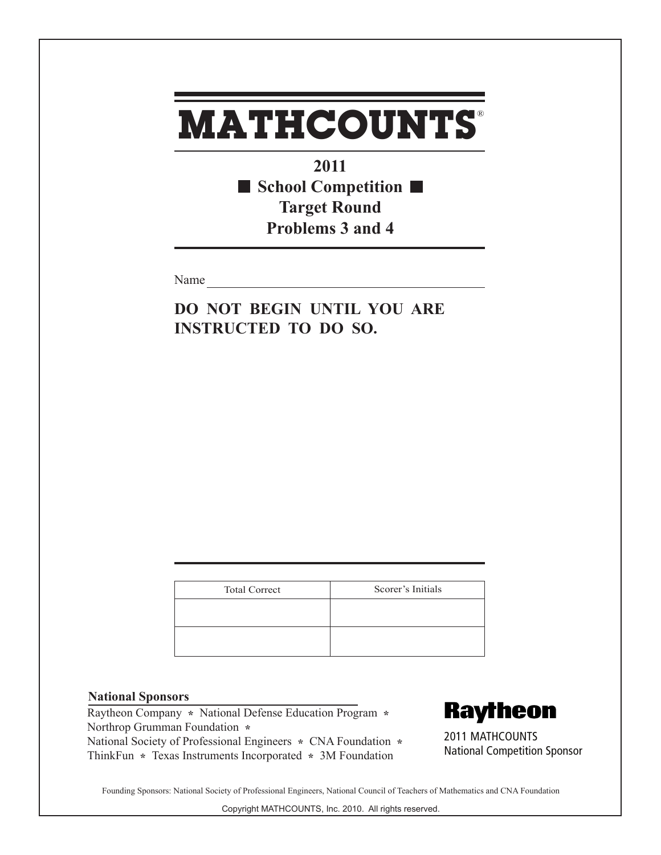**2011 School Competition Target Round Problems 3 and 4**

Name

**DO NOT BEGIN UNTIL YOU ARE INSTRUCTED TO DO SO.**

| <b>Total Correct</b> | Scorer's Initials |
|----------------------|-------------------|
|                      |                   |
|                      |                   |
|                      |                   |

### **National Sponsors**

Raytheon Company **\*** National Defense Education Program **\***  Northrop Grumman Foundation **\***  National Society of Professional Engineers **\*** CNA Foundation **\***  ThinkFun **\*** Texas Instruments Incorporated **\*** 3M Foundation

**Raytheon** 

2011 MATHCOUNTS National Competition Sponsor

Founding Sponsors: National Society of Professional Engineers, National Council of Teachers of Mathematics and CNA Foundation

Copyright MATHCOUNTS, Inc. 2010. All rights reserved.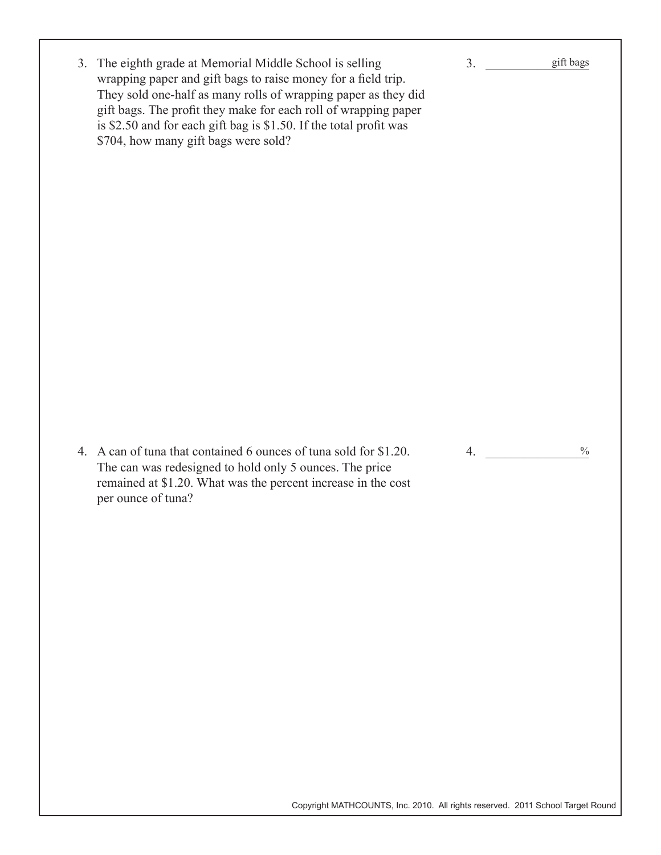| 3. The eighth grade at Memorial Middle School is selling<br>wrapping paper and gift bags to raise money for a field trip.<br>They sold one-half as many rolls of wrapping paper as they did<br>gift bags. The profit they make for each roll of wrapping paper<br>is \$2.50 and for each gift bag is \$1.50. If the total profit was<br>\$704, how many gift bags were sold? | 3 <sub>1</sub> | gift bags     |
|------------------------------------------------------------------------------------------------------------------------------------------------------------------------------------------------------------------------------------------------------------------------------------------------------------------------------------------------------------------------------|----------------|---------------|
| 4. A can of tuna that contained 6 ounces of tuna sold for \$1.20.<br>The can was redesigned to hold only 5 ounces. The price<br>remained at \$1.20. What was the percent increase in the cost<br>per ounce of tuna?                                                                                                                                                          | 4.             | $\frac{0}{0}$ |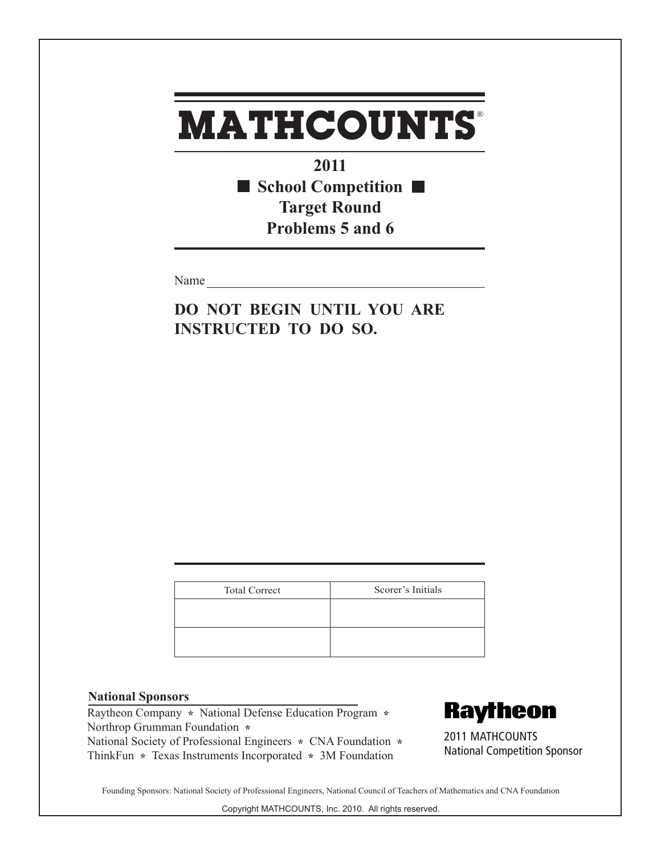**2011** ■ School Competition ■ **Target Round Problems 5 and 6**

Name

**DO NOT BEGIN UNTIL YOU ARE INSTRUCTED TO DO SO.**

| <b>Total Correct</b> | Scorer's Initials |
|----------------------|-------------------|
|                      |                   |
|                      |                   |
|                      |                   |
|                      |                   |

### **National Sponsors**

Raytheon Company **\*** National Defense Education Program **\***  Northrop Grumman Foundation **\***  National Society of Professional Engineers **\*** CNA Foundation **\***  ThinkFun **\*** Texas Instruments Incorporated **\*** 3M Foundation

**Raytheon** 

2011 MATHCOUNTS National Competition Sponsor

Founding Sponsors: National Society of Professional Engineers, National Council of Teachers of Mathematics and CNA Foundation

Copyright MATHCOUNTS, Inc. 2010. All rights reserved.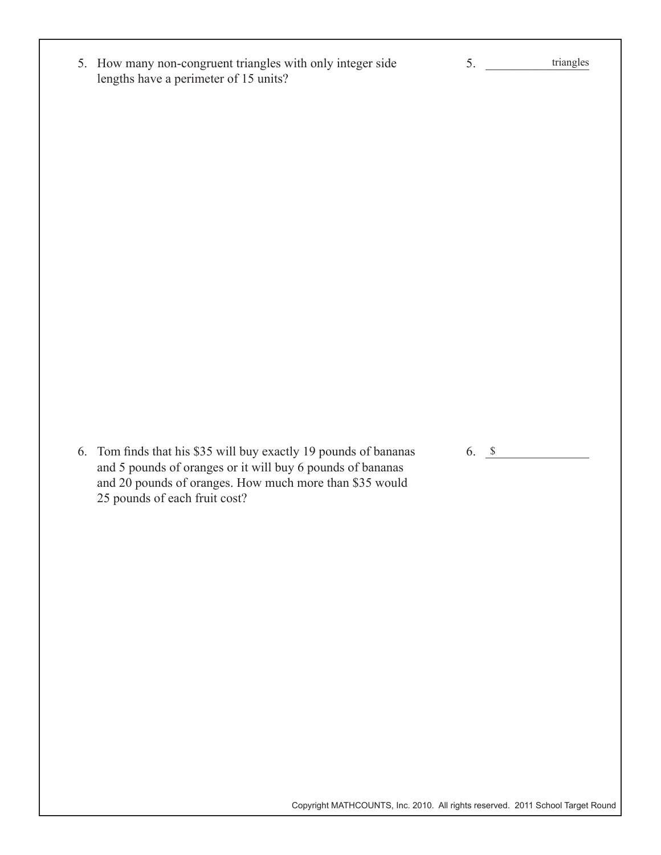| 5. How many non-congruent triangles with only integer side | triangles |
|------------------------------------------------------------|-----------|
| lengths have a perimeter of 15 units?                      |           |

6. Tom finds that his \$35 will buy exactly 19 pounds of bananas and 5 pounds of oranges or it will buy 6 pounds of bananas and 20 pounds of oranges. How much more than \$35 would 25 pounds of each fruit cost?

Copyright MATHCOUNTS, Inc. 2010. All rights reserved. 2011 School Target Round

6.  $\frac{\$}{\$}$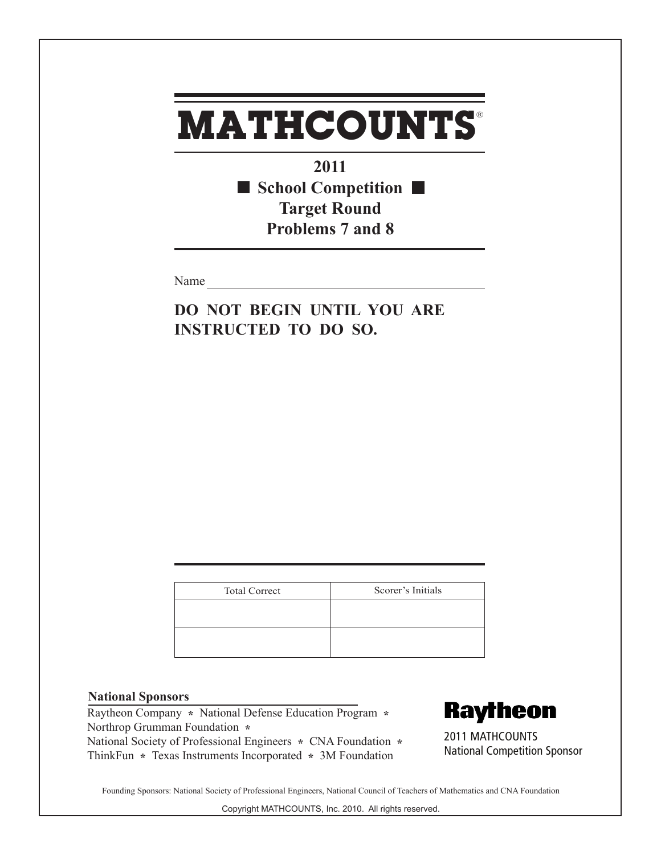**2011** ■ School Competition ■ **Target Round Problems 7 and 8**

Name

**DO NOT BEGIN UNTIL YOU ARE INSTRUCTED TO DO SO.**

| <b>Total Correct</b> | Scorer's Initials |
|----------------------|-------------------|
|                      |                   |
|                      |                   |
|                      |                   |

### **National Sponsors**

Raytheon Company **\*** National Defense Education Program **\***  Northrop Grumman Foundation **\***  National Society of Professional Engineers **\*** CNA Foundation **\***  ThinkFun **\*** Texas Instruments Incorporated **\*** 3M Foundation

**Raytheon** 

2011 MATHCOUNTS National Competition Sponsor

Founding Sponsors: National Society of Professional Engineers, National Council of Teachers of Mathematics and CNA Foundation

Copyright MATHCOUNTS, Inc. 2010. All rights reserved.